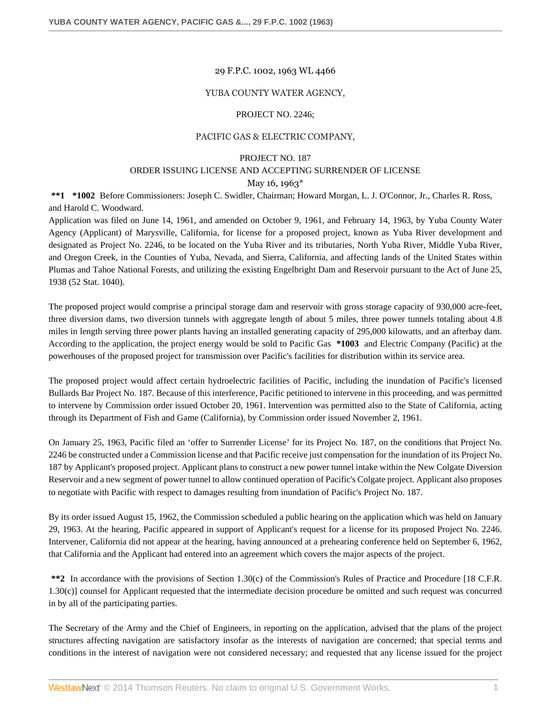### 29 F.P.C. 1002, 1963 WL 4466

### YUBA COUNTY WATER AGENCY,

#### PROJECT NO. 2246;

### PACIFIC GAS & ELECTRIC COMPANY,

## PROJECT NO. 187

# ORDER ISSUING LICENSE AND ACCEPTING SURRENDER OF LICENSE

## May 16, 1963\*

**\*\*1 \*1002** Before Commissioners: Joseph C. Swidler, Chairman; Howard Morgan, L. J. O'Connor, Jr., Charles R. Ross, and Harold C. Woodward.

Application was filed on June 14, 1961, and amended on October 9, 1961, and February 14, 1963, by Yuba County Water Agency (Applicant) of Marysville, California, for license for a proposed project, known as Yuba River development and designated as Project No. 2246, to be located on the Yuba River and its tributaries, North Yuba River, Middle Yuba River, and Oregon Creek, in the Counties of Yuba, Nevada, and Sierra, California, and affecting lands of the United States within Plumas and Tahoe National Forests, and utilizing the existing Engelbright Dam and Reservoir pursuant to the Act of June 25, 1938 (52 Stat. 1040).

The proposed project would comprise a principal storage dam and reservoir with gross storage capacity of 930,000 acre-feet, three diversion dams, two diversion tunnels with aggregate length of about 5 miles, three power tunnels totaling about 4.8 miles in length serving three power plants having an installed generating capacity of 295,000 kilowatts, and an afterbay dam. According to the application, the project energy would be sold to Pacific Gas **\*1003** and Electric Company (Pacific) at the powerhouses of the proposed project for transmission over Pacific's facilities for distribution within its service area.

The proposed project would affect certain hydroelectric facilities of Pacific, including the inundation of Pacific's licensed Bullards Bar Project No. 187. Because of this interference, Pacific petitioned to intervene in this proceeding, and was permitted to intervene by Commission order issued October 20, 1961. Intervention was permitted also to the State of California, acting through its Department of Fish and Game (California), by Commission order issued November 2, 1961.

On January 25, 1963, Pacific filed an 'offer to Surrender License' for its Project No. 187, on the conditions that Project No. 2246 be constructed under a Commission license and that Pacific receive just compensation for the inundation of its Project No. 187 by Applicant's proposed project. Applicant plans to construct a new power tunnel intake within the New Colgate Diversion Reservoir and a new segment of power tunnel to allow continued operation of Pacific's Colgate project. Applicant also proposes to negotiate with Pacific with respect to damages resulting from inundation of Pacific's Project No. 187.

By its order issued August 15, 1962, the Commission scheduled a public hearing on the application which was held on January 29, 1963. At the hearing, Pacific appeared in support of Applicant's request for a license for its proposed Project No. 2246. Intervener, California did not appear at the hearing, having announced at a prehearing conference held on September 6, 1962, that California and the Applicant had entered into an agreement which covers the major aspects of the project.

**\*\*2** In accordance with the provisions of Section 1.30(c) of the Commission's Rules of Practice and Procedure [18 C.F.R. 1.30(c)] counsel for Applicant requested that the intermediate decision procedure be omitted and such request was concurred in by all of the participating parties.

The Secretary of the Army and the Chief of Engineers, in reporting on the application, advised that the plans of the project structures affecting navigation are satisfactory insofar as the interests of navigation are concerned; that special terms and conditions in the interest of navigation were not considered necessary; and requested that any license issued for the project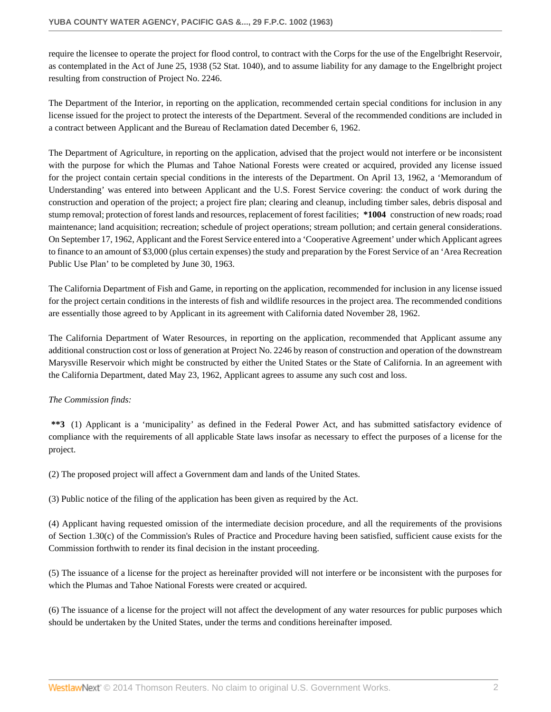require the licensee to operate the project for flood control, to contract with the Corps for the use of the Engelbright Reservoir, as contemplated in the Act of June 25, 1938 (52 Stat. 1040), and to assume liability for any damage to the Engelbright project resulting from construction of Project No. 2246.

The Department of the Interior, in reporting on the application, recommended certain special conditions for inclusion in any license issued for the project to protect the interests of the Department. Several of the recommended conditions are included in a contract between Applicant and the Bureau of Reclamation dated December 6, 1962.

The Department of Agriculture, in reporting on the application, advised that the project would not interfere or be inconsistent with the purpose for which the Plumas and Tahoe National Forests were created or acquired, provided any license issued for the project contain certain special conditions in the interests of the Department. On April 13, 1962, a 'Memorandum of Understanding' was entered into between Applicant and the U.S. Forest Service covering: the conduct of work during the construction and operation of the project; a project fire plan; clearing and cleanup, including timber sales, debris disposal and stump removal; protection of forest lands and resources, replacement of forest facilities; **\*1004** construction of new roads; road maintenance; land acquisition; recreation; schedule of project operations; stream pollution; and certain general considerations. On September 17, 1962, Applicant and the Forest Service entered into a 'Cooperative Agreement' under which Applicant agrees to finance to an amount of \$3,000 (plus certain expenses) the study and preparation by the Forest Service of an 'Area Recreation Public Use Plan' to be completed by June 30, 1963.

The California Department of Fish and Game, in reporting on the application, recommended for inclusion in any license issued for the project certain conditions in the interests of fish and wildlife resources in the project area. The recommended conditions are essentially those agreed to by Applicant in its agreement with California dated November 28, 1962.

The California Department of Water Resources, in reporting on the application, recommended that Applicant assume any additional construction cost or loss of generation at Project No. 2246 by reason of construction and operation of the downstream Marysville Reservoir which might be constructed by either the United States or the State of California. In an agreement with the California Department, dated May 23, 1962, Applicant agrees to assume any such cost and loss.

## *The Commission finds:*

**\*\*3** (1) Applicant is a 'municipality' as defined in the Federal Power Act, and has submitted satisfactory evidence of compliance with the requirements of all applicable State laws insofar as necessary to effect the purposes of a license for the project.

(2) The proposed project will affect a Government dam and lands of the United States.

(3) Public notice of the filing of the application has been given as required by the Act.

(4) Applicant having requested omission of the intermediate decision procedure, and all the requirements of the provisions of Section 1.30(c) of the Commission's Rules of Practice and Procedure having been satisfied, sufficient cause exists for the Commission forthwith to render its final decision in the instant proceeding.

(5) The issuance of a license for the project as hereinafter provided will not interfere or be inconsistent with the purposes for which the Plumas and Tahoe National Forests were created or acquired.

(6) The issuance of a license for the project will not affect the development of any water resources for public purposes which should be undertaken by the United States, under the terms and conditions hereinafter imposed.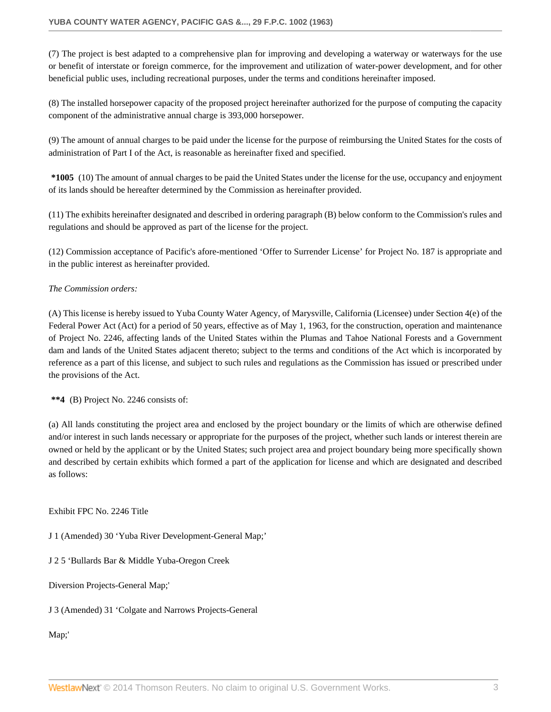(7) The project is best adapted to a comprehensive plan for improving and developing a waterway or waterways for the use or benefit of interstate or foreign commerce, for the improvement and utilization of water-power development, and for other beneficial public uses, including recreational purposes, under the terms and conditions hereinafter imposed.

(8) The installed horsepower capacity of the proposed project hereinafter authorized for the purpose of computing the capacity component of the administrative annual charge is 393,000 horsepower.

(9) The amount of annual charges to be paid under the license for the purpose of reimbursing the United States for the costs of administration of Part I of the Act, is reasonable as hereinafter fixed and specified.

**\*1005** (10) The amount of annual charges to be paid the United States under the license for the use, occupancy and enjoyment of its lands should be hereafter determined by the Commission as hereinafter provided.

(11) The exhibits hereinafter designated and described in ordering paragraph (B) below conform to the Commission's rules and regulations and should be approved as part of the license for the project.

(12) Commission acceptance of Pacific's afore-mentioned 'Offer to Surrender License' for Project No. 187 is appropriate and in the public interest as hereinafter provided.

## *The Commission orders:*

(A) This license is hereby issued to Yuba County Water Agency, of Marysville, California (Licensee) under Section 4(e) of the Federal Power Act (Act) for a period of 50 years, effective as of May 1, 1963, for the construction, operation and maintenance of Project No. 2246, affecting lands of the United States within the Plumas and Tahoe National Forests and a Government dam and lands of the United States adjacent thereto; subject to the terms and conditions of the Act which is incorporated by reference as a part of this license, and subject to such rules and regulations as the Commission has issued or prescribed under the provisions of the Act.

**\*\*4** (B) Project No. 2246 consists of:

(a) All lands constituting the project area and enclosed by the project boundary or the limits of which are otherwise defined and/or interest in such lands necessary or appropriate for the purposes of the project, whether such lands or interest therein are owned or held by the applicant or by the United States; such project area and project boundary being more specifically shown and described by certain exhibits which formed a part of the application for license and which are designated and described as follows:

Exhibit FPC No. 2246 Title

J 1 (Amended) 30 'Yuba River Development-General Map;'

J 2 5 'Bullards Bar & Middle Yuba-Oregon Creek

Diversion Projects-General Map;'

J 3 (Amended) 31 'Colgate and Narrows Projects-General

Map;'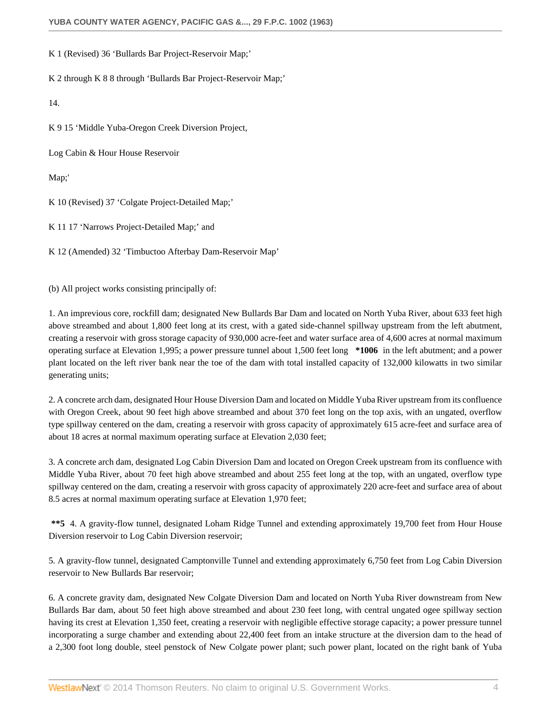K 1 (Revised) 36 'Bullards Bar Project-Reservoir Map;'

K 2 through K 8 8 through 'Bullards Bar Project-Reservoir Map;'

14.

K 9 15 'Middle Yuba-Oregon Creek Diversion Project,

Log Cabin & Hour House Reservoir

Map;'

K 10 (Revised) 37 'Colgate Project-Detailed Map;'

K 11 17 'Narrows Project-Detailed Map;' and

K 12 (Amended) 32 'Timbuctoo Afterbay Dam-Reservoir Map'

(b) All project works consisting principally of:

1. An imprevious core, rockfill dam; designated New Bullards Bar Dam and located on North Yuba River, about 633 feet high above streambed and about 1,800 feet long at its crest, with a gated side-channel spillway upstream from the left abutment, creating a reservoir with gross storage capacity of 930,000 acre-feet and water surface area of 4,600 acres at normal maximum operating surface at Elevation 1,995; a power pressure tunnel about 1,500 feet long **\*1006** in the left abutment; and a power plant located on the left river bank near the toe of the dam with total installed capacity of 132,000 kilowatts in two similar generating units;

2. A concrete arch dam, designated Hour House Diversion Dam and located on Middle Yuba River upstream from its confluence with Oregon Creek, about 90 feet high above streambed and about 370 feet long on the top axis, with an ungated, overflow type spillway centered on the dam, creating a reservoir with gross capacity of approximately 615 acre-feet and surface area of about 18 acres at normal maximum operating surface at Elevation 2,030 feet;

3. A concrete arch dam, designated Log Cabin Diversion Dam and located on Oregon Creek upstream from its confluence with Middle Yuba River, about 70 feet high above streambed and about 255 feet long at the top, with an ungated, overflow type spillway centered on the dam, creating a reservoir with gross capacity of approximately 220 acre-feet and surface area of about 8.5 acres at normal maximum operating surface at Elevation 1,970 feet;

**\*\*5** 4. A gravity-flow tunnel, designated Loham Ridge Tunnel and extending approximately 19,700 feet from Hour House Diversion reservoir to Log Cabin Diversion reservoir;

5. A gravity-flow tunnel, designated Camptonville Tunnel and extending approximately 6,750 feet from Log Cabin Diversion reservoir to New Bullards Bar reservoir;

6. A concrete gravity dam, designated New Colgate Diversion Dam and located on North Yuba River downstream from New Bullards Bar dam, about 50 feet high above streambed and about 230 feet long, with central ungated ogee spillway section having its crest at Elevation 1,350 feet, creating a reservoir with negligible effective storage capacity; a power pressure tunnel incorporating a surge chamber and extending about 22,400 feet from an intake structure at the diversion dam to the head of a 2,300 foot long double, steel penstock of New Colgate power plant; such power plant, located on the right bank of Yuba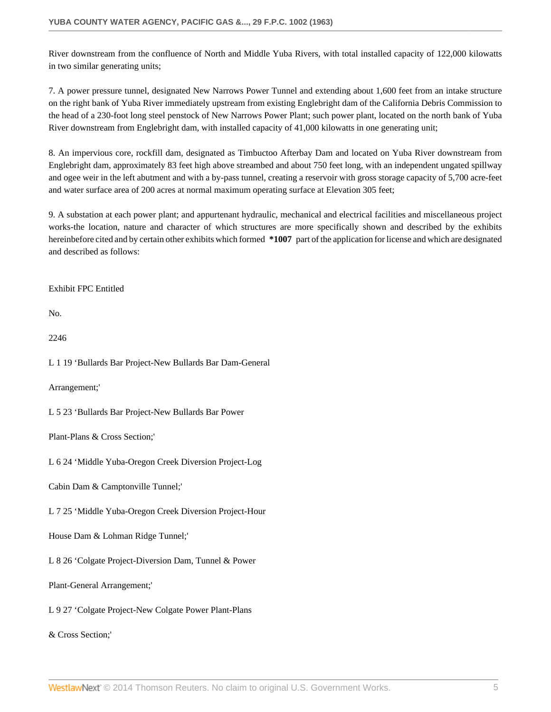River downstream from the confluence of North and Middle Yuba Rivers, with total installed capacity of 122,000 kilowatts in two similar generating units;

7. A power pressure tunnel, designated New Narrows Power Tunnel and extending about 1,600 feet from an intake structure on the right bank of Yuba River immediately upstream from existing Englebright dam of the California Debris Commission to the head of a 230-foot long steel penstock of New Narrows Power Plant; such power plant, located on the north bank of Yuba River downstream from Englebright dam, with installed capacity of 41,000 kilowatts in one generating unit;

8. An impervious core, rockfill dam, designated as Timbuctoo Afterbay Dam and located on Yuba River downstream from Englebright dam, approximately 83 feet high above streambed and about 750 feet long, with an independent ungated spillway and ogee weir in the left abutment and with a by-pass tunnel, creating a reservoir with gross storage capacity of 5,700 acre-feet and water surface area of 200 acres at normal maximum operating surface at Elevation 305 feet;

9. A substation at each power plant; and appurtenant hydraulic, mechanical and electrical facilities and miscellaneous project works-the location, nature and character of which structures are more specifically shown and described by the exhibits hereinbefore cited and by certain other exhibits which formed **\*1007** part of the application for license and which are designated and described as follows:

Exhibit FPC Entitled

No.

2246

L 1 19 'Bullards Bar Project-New Bullards Bar Dam-General

Arrangement;'

L 5 23 'Bullards Bar Project-New Bullards Bar Power

Plant-Plans & Cross Section;'

L 6 24 'Middle Yuba-Oregon Creek Diversion Project-Log

Cabin Dam & Camptonville Tunnel;'

L 7 25 'Middle Yuba-Oregon Creek Diversion Project-Hour

House Dam & Lohman Ridge Tunnel;'

L 8 26 'Colgate Project-Diversion Dam, Tunnel & Power

Plant-General Arrangement;'

L 9 27 'Colgate Project-New Colgate Power Plant-Plans

& Cross Section;'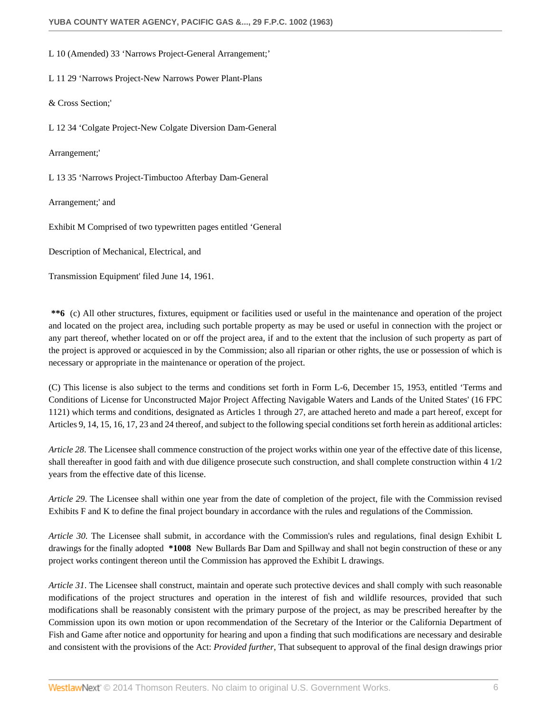L 10 (Amended) 33 'Narrows Project-General Arrangement;'

L 11 29 'Narrows Project-New Narrows Power Plant-Plans

& Cross Section;'

L 12 34 'Colgate Project-New Colgate Diversion Dam-General

Arrangement;'

L 13 35 'Narrows Project-Timbuctoo Afterbay Dam-General

Arrangement;' and

Exhibit M Comprised of two typewritten pages entitled 'General

Description of Mechanical, Electrical, and

Transmission Equipment' filed June 14, 1961.

**\*\*6** (c) All other structures, fixtures, equipment or facilities used or useful in the maintenance and operation of the project and located on the project area, including such portable property as may be used or useful in connection with the project or any part thereof, whether located on or off the project area, if and to the extent that the inclusion of such property as part of the project is approved or acquiesced in by the Commission; also all riparian or other rights, the use or possession of which is necessary or appropriate in the maintenance or operation of the project.

(C) This license is also subject to the terms and conditions set forth in Form L-6, December 15, 1953, entitled 'Terms and Conditions of License for Unconstructed Major Project Affecting Navigable Waters and Lands of the United States' (16 FPC 1121) which terms and conditions, designated as Articles 1 through 27, are attached hereto and made a part hereof, except for Articles 9, 14, 15, 16, 17, 23 and 24 thereof, and subject to the following special conditions set forth herein as additional articles:

*Article 28*. The Licensee shall commence construction of the project works within one year of the effective date of this license, shall thereafter in good faith and with due diligence prosecute such construction, and shall complete construction within 4 1/2 years from the effective date of this license.

*Article 29*. The Licensee shall within one year from the date of completion of the project, file with the Commission revised Exhibits F and K to define the final project boundary in accordance with the rules and regulations of the Commission.

*Article 30*. The Licensee shall submit, in accordance with the Commission's rules and regulations, final design Exhibit L drawings for the finally adopted **\*1008** New Bullards Bar Dam and Spillway and shall not begin construction of these or any project works contingent thereon until the Commission has approved the Exhibit L drawings.

*Article 31*. The Licensee shall construct, maintain and operate such protective devices and shall comply with such reasonable modifications of the project structures and operation in the interest of fish and wildlife resources, provided that such modifications shall be reasonably consistent with the primary purpose of the project, as may be prescribed hereafter by the Commission upon its own motion or upon recommendation of the Secretary of the Interior or the California Department of Fish and Game after notice and opportunity for hearing and upon a finding that such modifications are necessary and desirable and consistent with the provisions of the Act: *Provided further*, That subsequent to approval of the final design drawings prior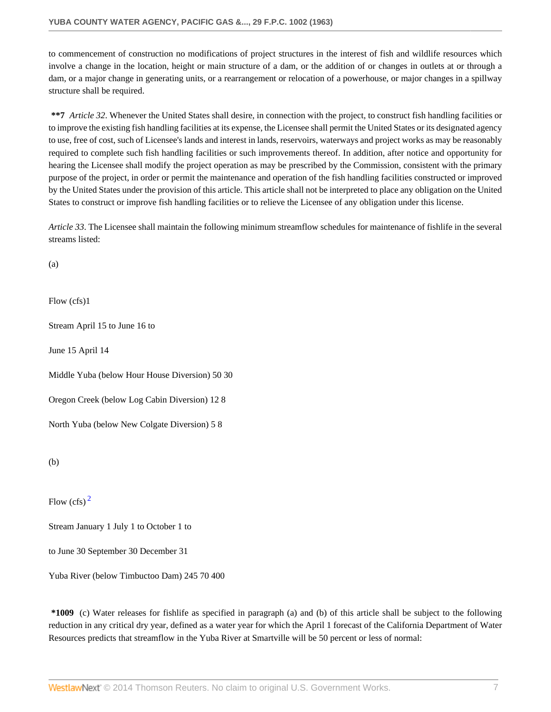to commencement of construction no modifications of project structures in the interest of fish and wildlife resources which involve a change in the location, height or main structure of a dam, or the addition of or changes in outlets at or through a dam, or a major change in generating units, or a rearrangement or relocation of a powerhouse, or major changes in a spillway structure shall be required.

**\*\*7** *Article 32*. Whenever the United States shall desire, in connection with the project, to construct fish handling facilities or to improve the existing fish handling facilities at its expense, the Licensee shall permit the United States or its designated agency to use, free of cost, such of Licensee's lands and interest in lands, reservoirs, waterways and project works as may be reasonably required to complete such fish handling facilities or such improvements thereof. In addition, after notice and opportunity for hearing the Licensee shall modify the project operation as may be prescribed by the Commission, consistent with the primary purpose of the project, in order or permit the maintenance and operation of the fish handling facilities constructed or improved by the United States under the provision of this article. This article shall not be interpreted to place any obligation on the United States to construct or improve fish handling facilities or to relieve the Licensee of any obligation under this license.

*Article 33*. The Licensee shall maintain the following minimum streamflow schedules for maintenance of fishlife in the several streams listed:

(a)

Flow (cfs)1

Stream April 15 to June 16 to

June 15 April 14

Middle Yuba (below Hour House Diversion) 50 30

Oregon Creek (below Log Cabin Diversion) 12 8

North Yuba (below New Colgate Diversion) 5 8

(b)

<span id="page-6-0"></span>Flow  $(cfs)^2$  $(cfs)^2$ 

Stream January 1 July 1 to October 1 to

to June 30 September 30 December 31

Yuba River (below Timbuctoo Dam) 245 70 400

**\*1009** (c) Water releases for fishlife as specified in paragraph (a) and (b) of this article shall be subject to the following reduction in any critical dry year, defined as a water year for which the April 1 forecast of the California Department of Water Resources predicts that streamflow in the Yuba River at Smartville will be 50 percent or less of normal: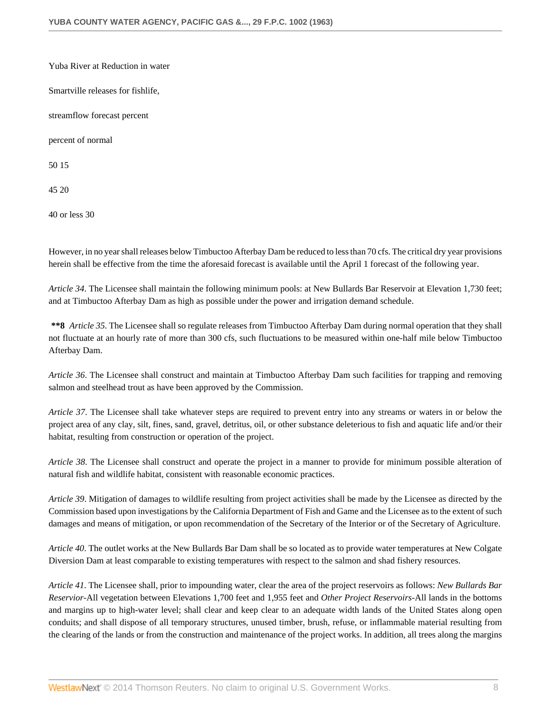Yuba River at Reduction in water Smartville releases for fishlife, streamflow forecast percent percent of normal 50 15 45 20

40 or less 30

However, in no year shall releases below Timbuctoo Afterbay Dam be reduced to less than 70 cfs. The critical dry year provisions herein shall be effective from the time the aforesaid forecast is available until the April 1 forecast of the following year.

*Article 34*. The Licensee shall maintain the following minimum pools: at New Bullards Bar Reservoir at Elevation 1,730 feet; and at Timbuctoo Afterbay Dam as high as possible under the power and irrigation demand schedule.

**\*\*8** *Article 35*. The Licensee shall so regulate releases from Timbuctoo Afterbay Dam during normal operation that they shall not fluctuate at an hourly rate of more than 300 cfs, such fluctuations to be measured within one-half mile below Timbuctoo Afterbay Dam.

*Article 36*. The Licensee shall construct and maintain at Timbuctoo Afterbay Dam such facilities for trapping and removing salmon and steelhead trout as have been approved by the Commission.

*Article 37*. The Licensee shall take whatever steps are required to prevent entry into any streams or waters in or below the project area of any clay, silt, fines, sand, gravel, detritus, oil, or other substance deleterious to fish and aquatic life and/or their habitat, resulting from construction or operation of the project.

*Article 38*. The Licensee shall construct and operate the project in a manner to provide for minimum possible alteration of natural fish and wildlife habitat, consistent with reasonable economic practices.

*Article 39*. Mitigation of damages to wildlife resulting from project activities shall be made by the Licensee as directed by the Commission based upon investigations by the California Department of Fish and Game and the Licensee as to the extent of such damages and means of mitigation, or upon recommendation of the Secretary of the Interior or of the Secretary of Agriculture.

*Article 40*. The outlet works at the New Bullards Bar Dam shall be so located as to provide water temperatures at New Colgate Diversion Dam at least comparable to existing temperatures with respect to the salmon and shad fishery resources.

*Article 41*. The Licensee shall, prior to impounding water, clear the area of the project reservoirs as follows: *New Bullards Bar Reservior*-All vegetation between Elevations 1,700 feet and 1,955 feet and *Other Project Reservoirs*-All lands in the bottoms and margins up to high-water level; shall clear and keep clear to an adequate width lands of the United States along open conduits; and shall dispose of all temporary structures, unused timber, brush, refuse, or inflammable material resulting from the clearing of the lands or from the construction and maintenance of the project works. In addition, all trees along the margins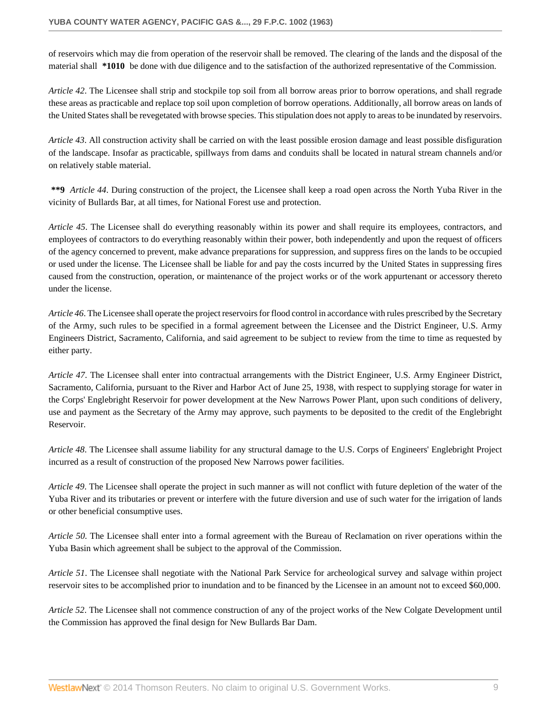of reservoirs which may die from operation of the reservoir shall be removed. The clearing of the lands and the disposal of the material shall **\*1010** be done with due diligence and to the satisfaction of the authorized representative of the Commission.

*Article 42*. The Licensee shall strip and stockpile top soil from all borrow areas prior to borrow operations, and shall regrade these areas as practicable and replace top soil upon completion of borrow operations. Additionally, all borrow areas on lands of the United States shall be revegetated with browse species. This stipulation does not apply to areas to be inundated by reservoirs.

*Article 43*. All construction activity shall be carried on with the least possible erosion damage and least possible disfiguration of the landscape. Insofar as practicable, spillways from dams and conduits shall be located in natural stream channels and/or on relatively stable material.

**\*\*9** *Article 44*. During construction of the project, the Licensee shall keep a road open across the North Yuba River in the vicinity of Bullards Bar, at all times, for National Forest use and protection.

*Article 45*. The Licensee shall do everything reasonably within its power and shall require its employees, contractors, and employees of contractors to do everything reasonably within their power, both independently and upon the request of officers of the agency concerned to prevent, make advance preparations for suppression, and suppress fires on the lands to be occupied or used under the license. The Licensee shall be liable for and pay the costs incurred by the United States in suppressing fires caused from the construction, operation, or maintenance of the project works or of the work appurtenant or accessory thereto under the license.

*Article 46*. The Licensee shall operate the project reservoirs for flood control in accordance with rules prescribed by the Secretary of the Army, such rules to be specified in a formal agreement between the Licensee and the District Engineer, U.S. Army Engineers District, Sacramento, California, and said agreement to be subject to review from the time to time as requested by either party.

*Article 47*. The Licensee shall enter into contractual arrangements with the District Engineer, U.S. Army Engineer District, Sacramento, California, pursuant to the River and Harbor Act of June 25, 1938, with respect to supplying storage for water in the Corps' Englebright Reservoir for power development at the New Narrows Power Plant, upon such conditions of delivery, use and payment as the Secretary of the Army may approve, such payments to be deposited to the credit of the Englebright Reservoir.

*Article 48*. The Licensee shall assume liability for any structural damage to the U.S. Corps of Engineers' Englebright Project incurred as a result of construction of the proposed New Narrows power facilities.

*Article 49*. The Licensee shall operate the project in such manner as will not conflict with future depletion of the water of the Yuba River and its tributaries or prevent or interfere with the future diversion and use of such water for the irrigation of lands or other beneficial consumptive uses.

*Article 50*. The Licensee shall enter into a formal agreement with the Bureau of Reclamation on river operations within the Yuba Basin which agreement shall be subject to the approval of the Commission.

*Article 51*. The Licensee shall negotiate with the National Park Service for archeological survey and salvage within project reservoir sites to be accomplished prior to inundation and to be financed by the Licensee in an amount not to exceed \$60,000.

*Article 52*. The Licensee shall not commence construction of any of the project works of the New Colgate Development until the Commission has approved the final design for New Bullards Bar Dam.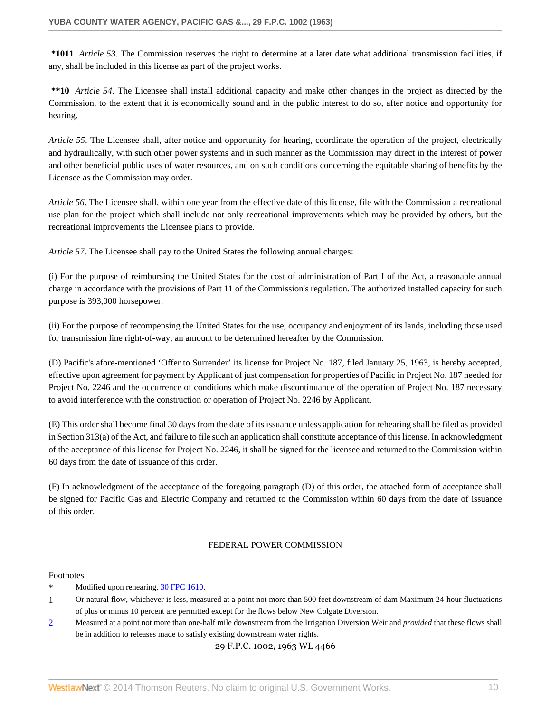**\*1011** *Article 53*. The Commission reserves the right to determine at a later date what additional transmission facilities, if any, shall be included in this license as part of the project works.

**\*\*10** *Article 54*. The Licensee shall install additional capacity and make other changes in the project as directed by the Commission, to the extent that it is economically sound and in the public interest to do so, after notice and opportunity for hearing.

*Article 55*. The Licensee shall, after notice and opportunity for hearing, coordinate the operation of the project, electrically and hydraulically, with such other power systems and in such manner as the Commission may direct in the interest of power and other beneficial public uses of water resources, and on such conditions concerning the equitable sharing of benefits by the Licensee as the Commission may order.

*Article 56*. The Licensee shall, within one year from the effective date of this license, file with the Commission a recreational use plan for the project which shall include not only recreational improvements which may be provided by others, but the recreational improvements the Licensee plans to provide.

*Article 57*. The Licensee shall pay to the United States the following annual charges:

(i) For the purpose of reimbursing the United States for the cost of administration of Part I of the Act, a reasonable annual charge in accordance with the provisions of Part 11 of the Commission's regulation. The authorized installed capacity for such purpose is 393,000 horsepower.

(ii) For the purpose of recompensing the United States for the use, occupancy and enjoyment of its lands, including those used for transmission line right-of-way, an amount to be determined hereafter by the Commission.

(D) Pacific's afore-mentioned 'Offer to Surrender' its license for Project No. 187, filed January 25, 1963, is hereby accepted, effective upon agreement for payment by Applicant of just compensation for properties of Pacific in Project No. 187 needed for Project No. 2246 and the occurrence of conditions which make discontinuance of the operation of Project No. 187 necessary to avoid interference with the construction or operation of Project No. 2246 by Applicant.

(E) This order shall become final 30 days from the date of its issuance unless application for rehearing shall be filed as provided in Section 313(a) of the Act, and failure to file such an application shall constitute acceptance of this license. In acknowledgment of the acceptance of this license for Project No. 2246, it shall be signed for the licensee and returned to the Commission within 60 days from the date of issuance of this order.

(F) In acknowledgment of the acceptance of the foregoing paragraph (D) of this order, the attached form of acceptance shall be signed for Pacific Gas and Electric Company and returned to the Commission within 60 days from the date of issuance of this order.

#### FEDERAL POWER COMMISSION

#### Footnotes

- \* Modified upon rehearing, [30 FPC 1610.](http://www.westlaw.com/Link/Document/FullText?findType=Y&serNum=1963058806&pubNum=0000921&originationContext=document&vr=3.0&rs=cblt1.0&transitionType=DocumentItem&contextData=(sc.DocLink))
- 1 Or natural flow, whichever is less, measured at a point not more than 500 feet downstream of dam Maximum 24-hour fluctuations of plus or minus 10 percent are permitted except for the flows below New Colgate Diversion.
- <span id="page-9-0"></span>[2](#page-6-0) Measured at a point not more than one-half mile downstream from the Irrigation Diversion Weir and *provided* that these flows shall be in addition to releases made to satisfy existing downstream water rights.

#### 29 F.P.C. 1002, 1963 WL 4466